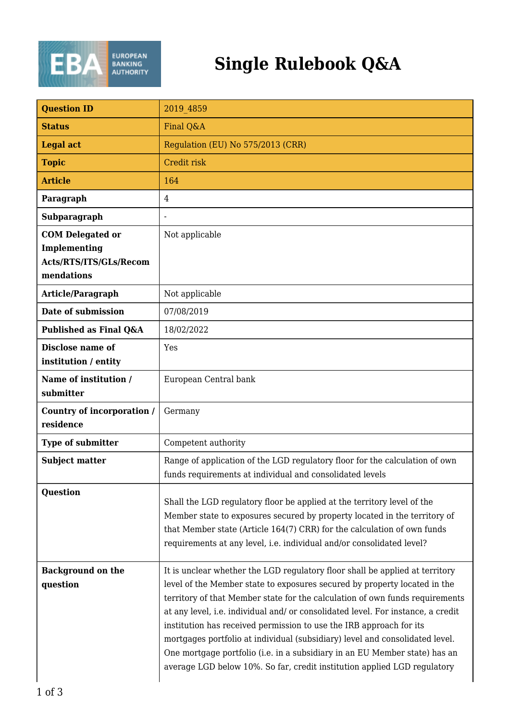

## **Single Rulebook Q&A**

| <b>Question ID</b>                                                              | 2019 4859                                                                                                                                                                                                                                                                                                                                                                                                                                                                                                                                                                                                                                      |
|---------------------------------------------------------------------------------|------------------------------------------------------------------------------------------------------------------------------------------------------------------------------------------------------------------------------------------------------------------------------------------------------------------------------------------------------------------------------------------------------------------------------------------------------------------------------------------------------------------------------------------------------------------------------------------------------------------------------------------------|
| <b>Status</b>                                                                   | Final Q&A                                                                                                                                                                                                                                                                                                                                                                                                                                                                                                                                                                                                                                      |
| <b>Legal act</b>                                                                | Regulation (EU) No 575/2013 (CRR)                                                                                                                                                                                                                                                                                                                                                                                                                                                                                                                                                                                                              |
| <b>Topic</b>                                                                    | Credit risk                                                                                                                                                                                                                                                                                                                                                                                                                                                                                                                                                                                                                                    |
| <b>Article</b>                                                                  | 164                                                                                                                                                                                                                                                                                                                                                                                                                                                                                                                                                                                                                                            |
| Paragraph                                                                       | 4                                                                                                                                                                                                                                                                                                                                                                                                                                                                                                                                                                                                                                              |
| Subparagraph                                                                    |                                                                                                                                                                                                                                                                                                                                                                                                                                                                                                                                                                                                                                                |
| <b>COM Delegated or</b><br>Implementing<br>Acts/RTS/ITS/GLs/Recom<br>mendations | Not applicable                                                                                                                                                                                                                                                                                                                                                                                                                                                                                                                                                                                                                                 |
| Article/Paragraph                                                               | Not applicable                                                                                                                                                                                                                                                                                                                                                                                                                                                                                                                                                                                                                                 |
| Date of submission                                                              | 07/08/2019                                                                                                                                                                                                                                                                                                                                                                                                                                                                                                                                                                                                                                     |
| Published as Final Q&A                                                          | 18/02/2022                                                                                                                                                                                                                                                                                                                                                                                                                                                                                                                                                                                                                                     |
| Disclose name of<br>institution / entity                                        | Yes                                                                                                                                                                                                                                                                                                                                                                                                                                                                                                                                                                                                                                            |
| Name of institution /<br>submitter                                              | European Central bank                                                                                                                                                                                                                                                                                                                                                                                                                                                                                                                                                                                                                          |
| Country of incorporation /<br>residence                                         | Germany                                                                                                                                                                                                                                                                                                                                                                                                                                                                                                                                                                                                                                        |
| Type of submitter                                                               | Competent authority                                                                                                                                                                                                                                                                                                                                                                                                                                                                                                                                                                                                                            |
| <b>Subject matter</b>                                                           | Range of application of the LGD regulatory floor for the calculation of own<br>funds requirements at individual and consolidated levels                                                                                                                                                                                                                                                                                                                                                                                                                                                                                                        |
| <b>Question</b>                                                                 | Shall the LGD regulatory floor be applied at the territory level of the<br>Member state to exposures secured by property located in the territory of<br>that Member state (Article 164(7) CRR) for the calculation of own funds<br>requirements at any level, i.e. individual and/or consolidated level?                                                                                                                                                                                                                                                                                                                                       |
| <b>Background on the</b><br>question                                            | It is unclear whether the LGD regulatory floor shall be applied at territory<br>level of the Member state to exposures secured by property located in the<br>territory of that Member state for the calculation of own funds requirements<br>at any level, i.e. individual and/ or consolidated level. For instance, a credit<br>institution has received permission to use the IRB approach for its<br>mortgages portfolio at individual (subsidiary) level and consolidated level.<br>One mortgage portfolio (i.e. in a subsidiary in an EU Member state) has an<br>average LGD below 10%. So far, credit institution applied LGD regulatory |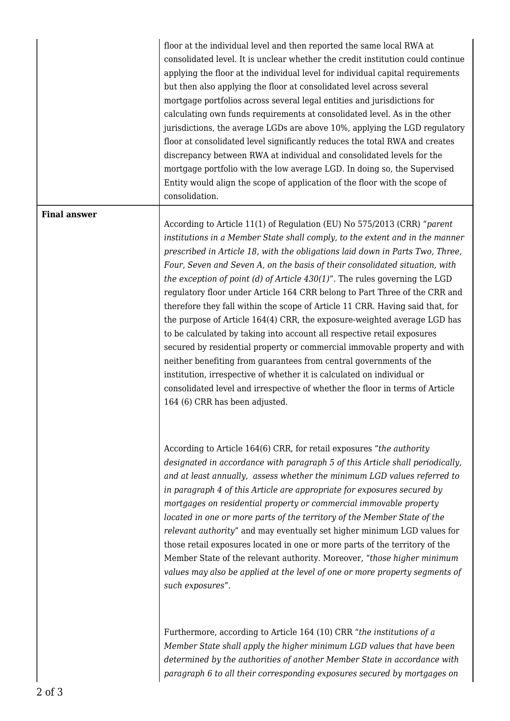floor at the individual level and then reported the same local RWA at consolidated level. It is unclear whether the credit institution could continue applying the floor at the individual level for individual capital requirements but then also applying the floor at consolidated level across several mortgage portfolios across several legal entities and jurisdictions for calculating own funds requirements at consolidated level. As in the other jurisdictions, the average LGDs are above 10%, applying the LGD regulatory floor at consolidated level significantly reduces the total RWA and creates discrepancy between RWA at individual and consolidated levels for the mortgage portfolio with the low average LGD. In doing so, the Supervised Entity would align the scope of application of the floor with the scope of consolidation.

## **Final answer**

According to Article 11(1) of Regulation (EU) No 575/2013 (CRR) "*parent institutions in a Member State shall comply, to the extent and in the manner prescribed in Article 18, with the obligations laid down in Parts Two, Three, Four, Seven and Seven A, on the basis of their consolidated situation, with the exception of point (d) of Article 430(1)*". The rules governing the LGD regulatory floor under Article 164 CRR belong to Part Three of the CRR and therefore they fall within the scope of Article 11 CRR. Having said that, for the purpose of Article 164(4) CRR, the exposure-weighted average LGD has to be calculated by taking into account all respective retail exposures secured by residential property or commercial immovable property and with neither benefiting from guarantees from central governments of the institution, irrespective of whether it is calculated on individual or consolidated level and irrespective of whether the floor in terms of Article 164 (6) CRR has been adjusted.

According to Article 164(6) CRR, for retail exposures "*the authority designated in accordance with paragraph 5 of this Article shall periodically, and at least annually, assess whether the minimum LGD values referred to in paragraph 4 of this Article are appropriate for exposures secured by mortgages on residential property or commercial immovable property located in one or more parts of the territory of the Member State of the relevant authority*" and may eventually set higher minimum LGD values for those retail exposures located in one or more parts of the territory of the Member State of the relevant authority. Moreover, "*those higher minimum values may also be applied at the level of one or more property segments of such exposures*".

Furthermore, according to Article 164 (10) CRR "*the institutions of a Member State shall apply the higher minimum LGD values that have been determined by the authorities of another Member State in accordance with paragraph 6 to all their corresponding exposures secured by mortgages on*